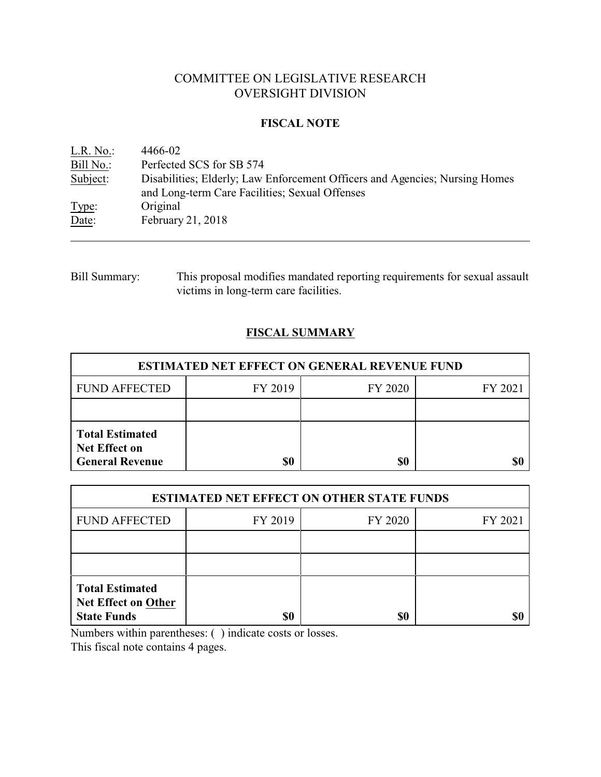# COMMITTEE ON LEGISLATIVE RESEARCH OVERSIGHT DIVISION

## **FISCAL NOTE**

| L.R. No.  | 4466-02                                                                                                                       |
|-----------|-------------------------------------------------------------------------------------------------------------------------------|
| Bill No.: | Perfected SCS for SB 574                                                                                                      |
| Subject:  | Disabilities; Elderly; Law Enforcement Officers and Agencies; Nursing Homes<br>and Long-term Care Facilities; Sexual Offenses |
| Type:     | Original                                                                                                                      |
| Date:     | February 21, 2018                                                                                                             |

## Bill Summary: This proposal modifies mandated reporting requirements for sexual assault victims in long-term care facilities.

## **FISCAL SUMMARY**

| <b>ESTIMATED NET EFFECT ON GENERAL REVENUE FUND</b>                      |         |         |         |  |
|--------------------------------------------------------------------------|---------|---------|---------|--|
| <b>FUND AFFECTED</b>                                                     | FY 2019 | FY 2020 | FY 2021 |  |
|                                                                          |         |         |         |  |
| <b>Total Estimated</b><br><b>Net Effect on</b><br><b>General Revenue</b> | \$0     | \$0     |         |  |

| <b>ESTIMATED NET EFFECT ON OTHER STATE FUNDS</b>                           |         |         |         |  |
|----------------------------------------------------------------------------|---------|---------|---------|--|
| <b>FUND AFFECTED</b>                                                       | FY 2019 | FY 2020 | FY 2021 |  |
|                                                                            |         |         |         |  |
|                                                                            |         |         |         |  |
| <b>Total Estimated</b><br><b>Net Effect on Other</b><br><b>State Funds</b> | \$0     | \$0     |         |  |

Numbers within parentheses: ( ) indicate costs or losses.

This fiscal note contains 4 pages.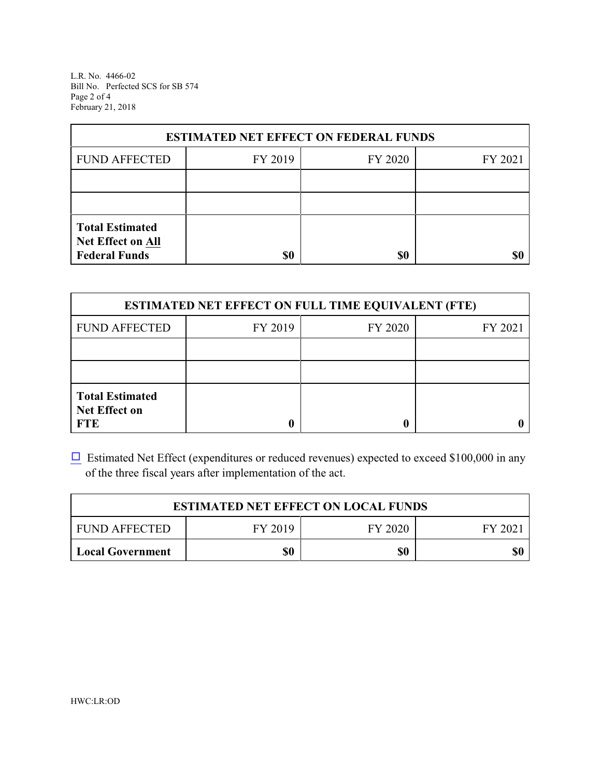L.R. No. 4466-02 Bill No. Perfected SCS for SB 574 Page 2 of 4 February 21, 2018

| <b>ESTIMATED NET EFFECT ON FEDERAL FUNDS</b>                        |         |         |         |  |
|---------------------------------------------------------------------|---------|---------|---------|--|
| <b>FUND AFFECTED</b>                                                | FY 2019 | FY 2020 | FY 2021 |  |
|                                                                     |         |         |         |  |
|                                                                     |         |         |         |  |
| <b>Total Estimated</b><br>Net Effect on All<br><b>Federal Funds</b> | \$0     | \$0     |         |  |

| <b>ESTIMATED NET EFFECT ON FULL TIME EQUIVALENT (FTE)</b>    |         |         |         |  |
|--------------------------------------------------------------|---------|---------|---------|--|
| <b>FUND AFFECTED</b>                                         | FY 2019 | FY 2020 | FY 2021 |  |
|                                                              |         |         |         |  |
|                                                              |         |         |         |  |
| <b>Total Estimated</b><br><b>Net Effect on</b><br><b>FTE</b> |         |         |         |  |

 $\Box$  Estimated Net Effect (expenditures or reduced revenues) expected to exceed \$100,000 in any of the three fiscal years after implementation of the act.

| <b>ESTIMATED NET EFFECT ON LOCAL FUNDS</b> |         |         |        |  |
|--------------------------------------------|---------|---------|--------|--|
| <b>FUND AFFECTED</b>                       | FY 2019 | FY 2020 | FY 202 |  |
| <b>Local Government</b>                    | \$0     | \$0     | \$0    |  |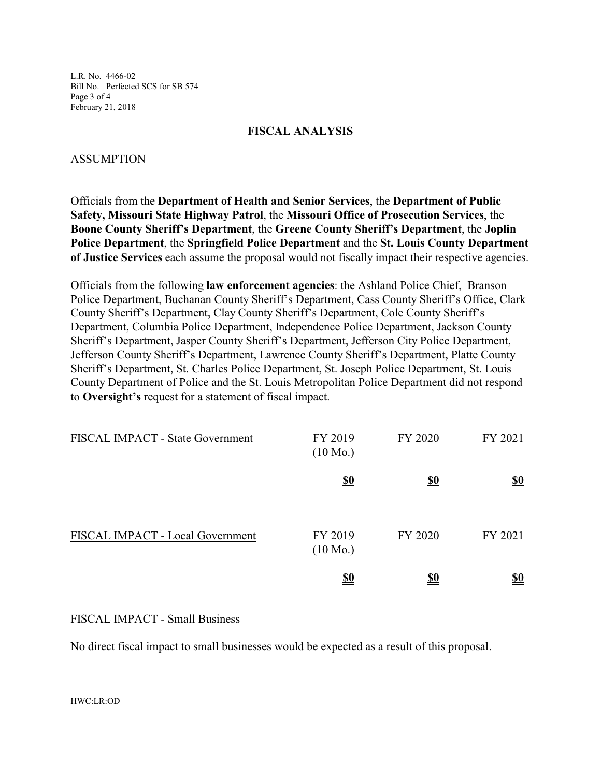L.R. No. 4466-02 Bill No. Perfected SCS for SB 574 Page 3 of 4 February 21, 2018

### **FISCAL ANALYSIS**

## ASSUMPTION

Officials from the **Department of Health and Senior Services**, the **Department of Public Safety, Missouri State Highway Patrol**, the **Missouri Office of Prosecution Services**, the **Boone County Sheriff's Department**, the **Greene County Sheriff's Department**, the **Joplin Police Department**, the **Springfield Police Department** and the **St. Louis County Department of Justice Services** each assume the proposal would not fiscally impact their respective agencies.

Officials from the following **law enforcement agencies**: the Ashland Police Chief, Branson Police Department, Buchanan County Sheriff's Department, Cass County Sheriff's Office, Clark County Sheriff's Department, Clay County Sheriff's Department, Cole County Sheriff's Department, Columbia Police Department, Independence Police Department, Jackson County Sheriff's Department, Jasper County Sheriff's Department, Jefferson City Police Department, Jefferson County Sheriff's Department, Lawrence County Sheriff's Department, Platte County Sheriff's Department, St. Charles Police Department, St. Joseph Police Department, St. Louis County Department of Police and the St. Louis Metropolitan Police Department did not respond to **Oversight's** request for a statement of fiscal impact.

| FISCAL IMPACT - State Government | FY 2019<br>$(10 \text{ Mo.})$ | FY 2020    | FY 2021                       |
|----------------------------------|-------------------------------|------------|-------------------------------|
|                                  | <u>\$0</u>                    | <u>\$0</u> | $\underline{\underline{\$0}}$ |
| FISCAL IMPACT - Local Government | FY 2019<br>$(10 \text{ Mo.})$ | FY 2020    | FY 2021                       |
|                                  | <u>\$0</u>                    | <u>\$0</u> | <u>\$0</u>                    |

## FISCAL IMPACT - Small Business

No direct fiscal impact to small businesses would be expected as a result of this proposal.